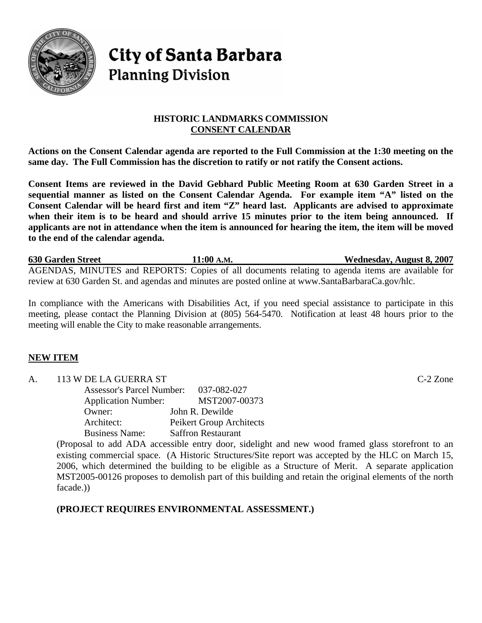

# **City of Santa Barbara Planning Division**

## **HISTORIC LANDMARKS COMMISSION CONSENT CALENDAR**

**Actions on the Consent Calendar agenda are reported to the Full Commission at the 1:30 meeting on the same day. The Full Commission has the discretion to ratify or not ratify the Consent actions.** 

**Consent Items are reviewed in the David Gebhard Public Meeting Room at 630 Garden Street in a sequential manner as listed on the Consent Calendar Agenda. For example item "A" listed on the Consent Calendar will be heard first and item "Z" heard last. Applicants are advised to approximate when their item is to be heard and should arrive 15 minutes prior to the item being announced. If applicants are not in attendance when the item is announced for hearing the item, the item will be moved to the end of the calendar agenda.** 

**630 Garden Street 11:00 A.M. Wednesday, August 8, 2007** AGENDAS, MINUTES and REPORTS: Copies of all documents relating to agenda items are available for review at 630 Garden St. and agendas and minutes are posted online at www.SantaBarbaraCa.gov/hlc.

In compliance with the Americans with Disabilities Act, if you need special assistance to participate in this meeting, please contact the Planning Division at (805) 564-5470. Notification at least 48 hours prior to the meeting will enable the City to make reasonable arrangements.

# **NEW ITEM**

A. 113 W DE LA GUERRA ST C-2 Zone Assessor's Parcel Number: 037-082-027 Application Number: MST2007-00373 Owner: John R. Dewilde Architect: Peikert Group Architects Business Name: Saffron Restaurant

(Proposal to add ADA accessible entry door, sidelight and new wood framed glass storefront to an existing commercial space. (A Historic Structures/Site report was accepted by the HLC on March 15, 2006, which determined the building to be eligible as a Structure of Merit. A separate application MST2005-00126 proposes to demolish part of this building and retain the original elements of the north facade.))

**(PROJECT REQUIRES ENVIRONMENTAL ASSESSMENT.)**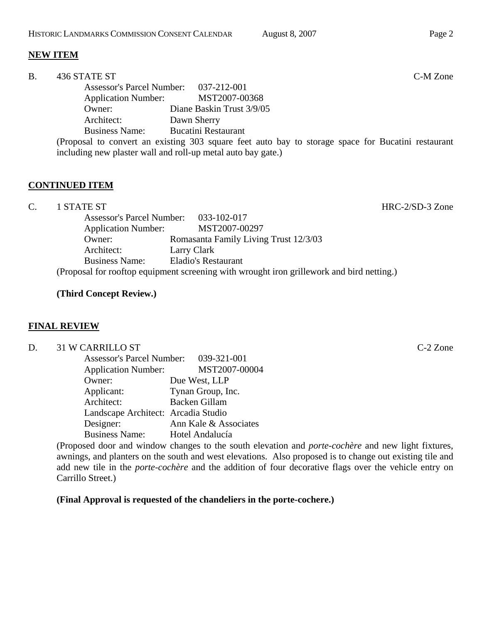including new plaster wall and roll-up metal auto bay gate.)

## **NEW ITEM**

| <b>B.</b> | 436 STATE ST                          |                                                                                                    | C-M Zone |
|-----------|---------------------------------------|----------------------------------------------------------------------------------------------------|----------|
|           | Assessor's Parcel Number: 037-212-001 |                                                                                                    |          |
|           | <b>Application Number:</b>            | MST2007-00368                                                                                      |          |
|           | Owner:                                | Diane Baskin Trust 3/9/05                                                                          |          |
|           | Architect:                            | Dawn Sherry                                                                                        |          |
|           | <b>Business Name:</b>                 | <b>Bucatini Restaurant</b>                                                                         |          |
|           |                                       | (Proposal to convert an existing 303 square feet auto bay to storage space for Bucatini restaurant |          |

#### **CONTINUED ITEM**

C. 1 STATE ST HRC-2/SD-3 Zone

|                            | Assessor's Parcel Number: 033-102-017                                                     |
|----------------------------|-------------------------------------------------------------------------------------------|
| <b>Application Number:</b> | MST2007-00297                                                                             |
| Owner:                     | Romasanta Family Living Trust 12/3/03                                                     |
| Architect:                 | Larry Clark                                                                               |
| <b>Business Name:</b>      | <b>Eladio's Restaurant</b>                                                                |
|                            | (Proposal for rooftop equipment screening with wrought iron grillework and bird netting.) |

#### **(Third Concept Review.)**

#### **FINAL REVIEW**

D. 31 W CARRILLO ST C-2 Zone

| <b>Assessor's Parcel Number:</b>    | 039-321-001           |
|-------------------------------------|-----------------------|
| <b>Application Number:</b>          | MST2007-00004         |
| Owner:                              | Due West, LLP         |
| Applicant:                          | Tynan Group, Inc.     |
| Architect:                          | <b>Backen Gillam</b>  |
| Landscape Architect: Arcadia Studio |                       |
| Designer:                           | Ann Kale & Associates |
| <b>Business Name:</b>               | Hotel Andalucía       |

(Proposed door and window changes to the south elevation and *porte-cochère* and new light fixtures, awnings, and planters on the south and west elevations. Also proposed is to change out existing tile and add new tile in the *porte-cochère* and the addition of four decorative flags over the vehicle entry on Carrillo Street.)

**(Final Approval is requested of the chandeliers in the porte-cochere.)**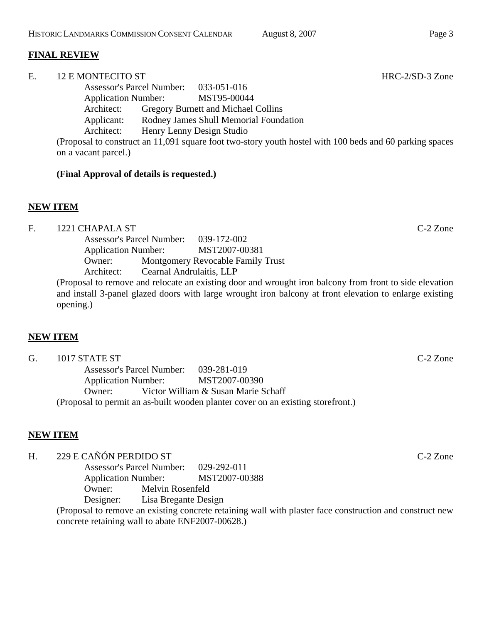## **FINAL REVIEW**

E. 12 E MONTECITO ST HRC-2/SD-3 Zone Assessor's Parcel Number: 033-051-016 Application Number: MST95-00044

 Architect: Gregory Burnett and Michael Collins Applicant: Rodney James Shull Memorial Foundation Architect: Henry Lenny Design Studio

(Proposal to construct an 11,091 square foot two-story youth hostel with 100 beds and 60 parking spaces on a vacant parcel.)

#### **(Final Approval of details is requested.)**

## **NEW ITEM**

| F. | 1221 CHAPALA ST                                                                                         | $C-2$ Zone |  |
|----|---------------------------------------------------------------------------------------------------------|------------|--|
|    | Assessor's Parcel Number: 039-172-002                                                                   |            |  |
|    | MST2007-00381<br><b>Application Number:</b>                                                             |            |  |
|    | Montgomery Revocable Family Trust<br>Owner:                                                             |            |  |
|    | Architect: Cearnal Andrulaitis, LLP                                                                     |            |  |
|    | (Proposal to remove and relocate an existing door and wrought iron balcony from front to side elevation |            |  |
|    | and install 3-panel glazed doors with large wrought iron balcony at front elevation to enlarge existing |            |  |
|    | opening.)                                                                                               |            |  |

## **NEW ITEM**

| G. | 1017 STATE ST                                                                    |                                     | $C-2$ Zone |
|----|----------------------------------------------------------------------------------|-------------------------------------|------------|
|    | Assessor's Parcel Number: 039-281-019                                            |                                     |            |
|    | Application Number: MST2007-00390                                                |                                     |            |
|    | $O$ wner:                                                                        | Victor William & Susan Marie Schaff |            |
|    | (Proposal to permit an as-built wooden planter cover on an existing storefront.) |                                     |            |

## **NEW ITEM**

H. 229 E CAÑÓN PERDIDO ST C-2 Zone

 Assessor's Parcel Number: 029-292-011 Application Number: MST2007-00388 Owner: Melvin Rosenfeld Designer: Lisa Bregante Design

(Proposal to remove an existing concrete retaining wall with plaster face construction and construct new concrete retaining wall to abate ENF2007-00628.)